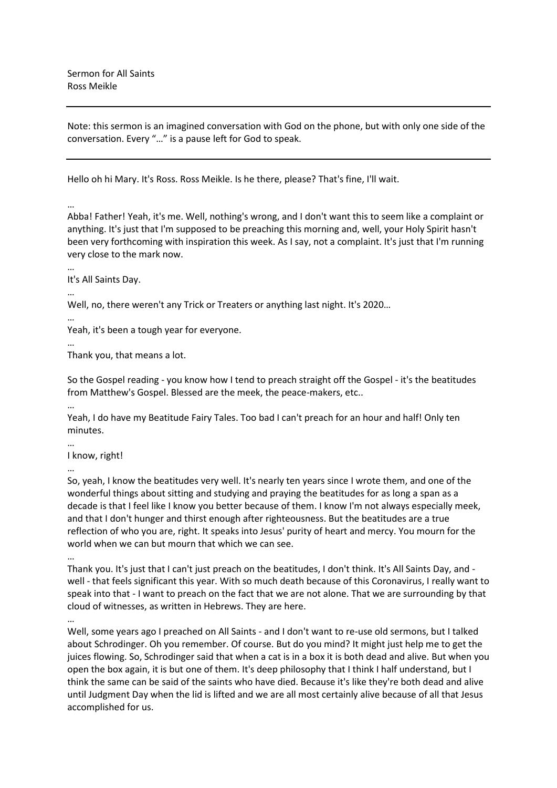Note: this sermon is an imagined conversation with God on the phone, but with only one side of the conversation. Every "…" is a pause left for God to speak.

Hello oh hi Mary. It's Ross. Ross Meikle. Is he there, please? That's fine, I'll wait.

…

Abba! Father! Yeah, it's me. Well, nothing's wrong, and I don't want this to seem like a complaint or anything. It's just that I'm supposed to be preaching this morning and, well, your Holy Spirit hasn't been very forthcoming with inspiration this week. As I say, not a complaint. It's just that I'm running very close to the mark now.

…

…

It's All Saints Day.

Well, no, there weren't any Trick or Treaters or anything last night. It's 2020…

… Yeah, it's been a tough year for everyone.

… Thank you, that means a lot.

So the Gospel reading - you know how I tend to preach straight off the Gospel - it's the beatitudes from Matthew's Gospel. Blessed are the meek, the peace-makers, etc..

…

Yeah, I do have my Beatitude Fairy Tales. Too bad I can't preach for an hour and half! Only ten minutes.

… I know, right!

…

So, yeah, I know the beatitudes very well. It's nearly ten years since I wrote them, and one of the wonderful things about sitting and studying and praying the beatitudes for as long a span as a decade is that I feel like I know you better because of them. I know I'm not always especially meek, and that I don't hunger and thirst enough after righteousness. But the beatitudes are a true reflection of who you are, right. It speaks into Jesus' purity of heart and mercy. You mourn for the world when we can but mourn that which we can see.

…

Thank you. It's just that I can't just preach on the beatitudes, I don't think. It's All Saints Day, and well - that feels significant this year. With so much death because of this Coronavirus, I really want to speak into that - I want to preach on the fact that we are not alone. That we are surrounding by that cloud of witnesses, as written in Hebrews. They are here.

Well, some years ago I preached on All Saints - and I don't want to re-use old sermons, but I talked about Schrodinger. Oh you remember. Of course. But do you mind? It might just help me to get the juices flowing. So, Schrodinger said that when a cat is in a box it is both dead and alive. But when you open the box again, it is but one of them. It's deep philosophy that I think I half understand, but I think the same can be said of the saints who have died. Because it's like they're both dead and alive until Judgment Day when the lid is lifted and we are all most certainly alive because of all that Jesus accomplished for us.

<sup>…</sup>